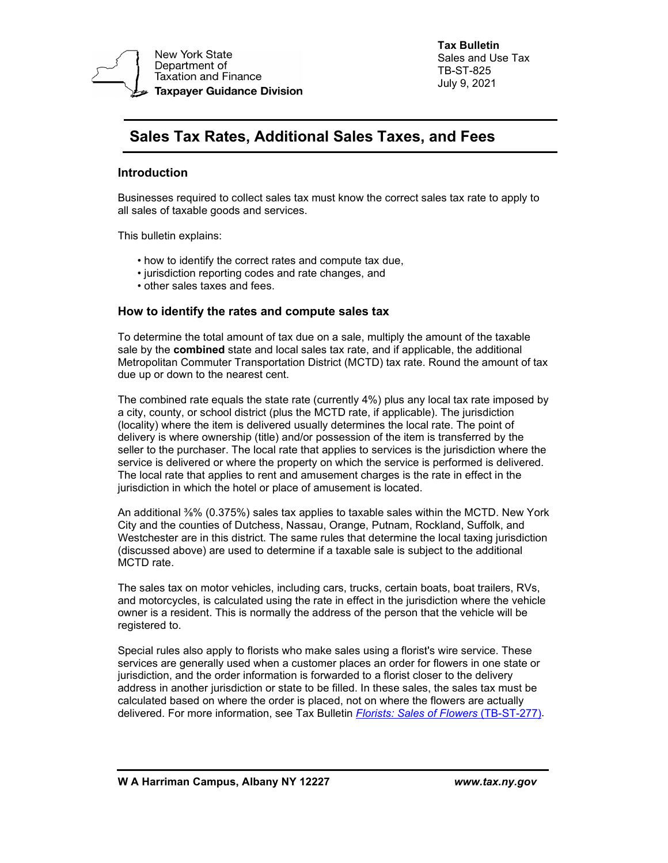

**Tax Bulletin**  Sales and Use Tax TB-ST-825 July 9, 2021

# **Sales Tax Rates, Additional Sales Taxes, and Fees**

## **Introduction**

Businesses required to collect sales tax must know the correct sales tax rate to apply to all sales of taxable goods and services.

This bulletin explains:

- how to identify the correct rates and compute tax due,
- jurisdiction reporting codes and rate changes, and
- other sales taxes and fees.

#### **How to identify the rates and compute sales tax**

To determine the total amount of tax due on a sale, multiply the amount of the taxable sale by the **combined** state and local sales tax rate, and if applicable, the additional Metropolitan Commuter Transportation District (MCTD) tax rate. Round the amount of tax due up or down to the nearest cent.

 jurisdiction in which the hotel or place of amusement is located. The combined rate equals the state rate (currently 4%) plus any local tax rate imposed by a city, county, or school district (plus the MCTD rate, if applicable). The jurisdiction (locality) where the item is delivered usually determines the local rate. The point of delivery is where ownership (title) and/or possession of the item is transferred by the seller to the purchaser. The local rate that applies to services is the jurisdiction where the service is delivered or where the property on which the service is performed is delivered. The local rate that applies to rent and amusement charges is the rate in effect in the

 An additional ⅜% (0.375%) sales tax applies to taxable sales within the MCTD. New York City and the counties of Dutchess, Nassau, Orange, Putnam, Rockland, Suffolk, and Westchester are in this district. The same rules that determine the local taxing jurisdiction (discussed above) are used to determine if a taxable sale is subject to the additional MCTD rate.

 and motorcycles, is calculated using the rate in effect in the jurisdiction where the vehicle The sales tax on motor vehicles, including cars, trucks, certain boats, boat trailers, RVs, owner is a resident. This is normally the address of the person that the vehicle will be registered to.

 delivered. For more information, see Tax Bulletin *[Florists: Sales of Flowers](http://www.tax.ny.gov/pubs_and_bulls/tg_bulletins/st/florists.htm)* (TB-ST-277). Special rules also apply to florists who make sales using a florist's wire service. These services are generally used when a customer places an order for flowers in one state or jurisdiction, and the order information is forwarded to a florist closer to the delivery address in another jurisdiction or state to be filled. In these sales, the sales tax must be calculated based on where the order is placed, not on where the flowers are actually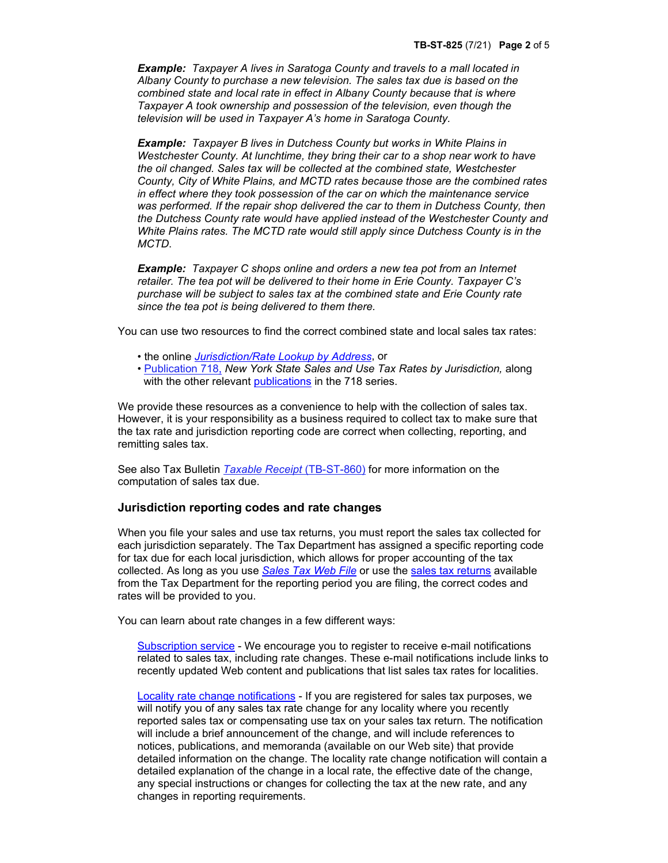*Example: Taxpayer A lives in Saratoga County and travels to a mall located in Albany County to purchase a new television. The sales tax due is based on the combined state and local rate in effect in Albany County because that is where Taxpayer A took ownership and possession of the television, even though the television will be used in Taxpayer A's home in Saratoga County.* 

 *Example: Taxpayer B lives in Dutchess County but works in White Plains in Westchester County. At lunchtime, they bring their car to a shop near work to have the oil changed. Sales tax will be collected at the combined state, Westchester County, City of White Plains, and MCTD rates because those are the combined rates in effect where they took possession of the car on which the maintenance service was performed. If the repair shop delivered the car to them in Dutchess County, then the Dutchess County rate would have applied instead of the Westchester County and White Plains rates. The MCTD rate would still apply since Dutchess County is in the MCTD*.

*Example: Taxpayer C shops online and orders a new tea pot from an Internet retailer. The tea pot will be delivered to their home in Erie County. Taxpayer C's purchase will be subject to sales tax at the combined state and Erie County rate since the tea pot is being delivered to them there.* 

You can use two resources to find the correct combined state and local sales tax rates:

- the online *[Jurisdiction/Rate Lookup by Address](http://www8.tax.ny.gov/JRLA/jrlaStart)*, or
- [Publication 718](http://www.tax.ny.gov/pdf/publications/sales/pub718.pdf), *New York State Sales and Use Tax Rates by Jurisdiction,* along with the other relevant [publications](https://www.tax.ny.gov/pubs_and_bulls/publications/sales/rates_by_local_jurisdiction.htm) in the 718 series.

We provide these resources as a convenience to help with the collection of sales tax. However, it is your responsibility as a business required to collect tax to make sure that the tax rate and jurisdiction reporting code are correct when collecting, reporting, and remitting sales tax.

See also Tax Bulletin *[Taxable Receipt](http://www.tax.ny.gov/pubs_and_bulls/tg_bulletins/st/taxable_receipt.htm)* (TB-ST-860) for more information on the computation of sales tax due.

#### **Jurisdiction reporting codes and rate changes**

When you file your sales and use tax returns, you must report the sales tax collected for each jurisdiction separately. The Tax Department has assigned a specific reporting code for tax due for each local jurisdiction, which allows for proper accounting of the tax collected. As long as you use *[Sales Tax Web File](http://www.tax.ny.gov/bus/st/stmp.htm)* or use the [sales tax returns a](http://www.tax.ny.gov/forms/sales_cur_forms.htm)vailable from the Tax Department for the reporting period you are filing, the correct codes and rates will be provided to you.

You can learn about rate changes in a few different ways:

[Subscription service](http://www.tax.ny.gov/help/subscribe.htm) - We encourage you to register to receive e-mail notifications recently updated Web content and publications that list sales tax rates for localities. related to sales tax, including rate changes. These e-mail notifications include links to

 [Locality rate change notifications](https://www.tax.ny.gov/forms/locality_rate_changes.htm) - If you are registered for sales tax purposes, we will notify you of any sales tax rate change for any locality where you recently reported sales tax or compensating use tax on your sales tax return. The notification will include a brief announcement of the change, and will include references to notices, publications, and memoranda (available on our Web site) that provide detailed information on the change. The locality rate change notification will contain a detailed explanation of the change in a local rate, the effective date of the change, any special instructions or changes for collecting the tax at the new rate, and any changes in reporting requirements.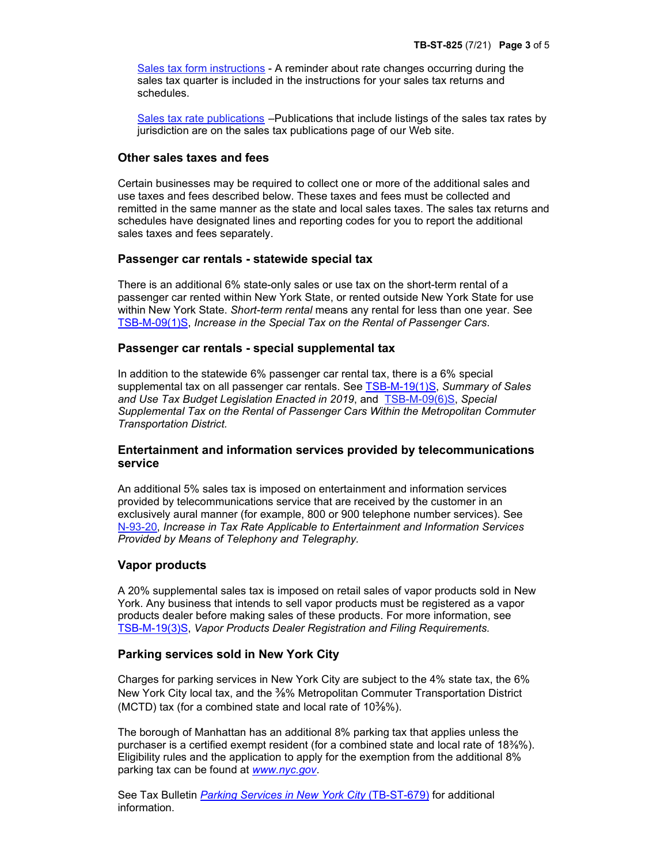[Sales tax form instructions -](http://www.tax.ny.gov/forms/sales_cur_forms.htm) A reminder about rate changes occurring during the sales tax quarter is included in the instructions for your sales tax returns and schedules.

[Sales tax rate publications](http://www.tax.ny.gov/pubs_and_bulls/publications/sales_pubs.htm) –Publications that include listings of the sales tax rates by jurisdiction are on the sales tax publications page of our Web site.

#### **Other sales taxes and fees**

Certain businesses may be required to collect one or more of the additional sales and use taxes and fees described below. These taxes and fees must be collected and remitted in the same manner as the state and local sales taxes. The sales tax returns and schedules have designated lines and reporting codes for you to report the additional sales taxes and fees separately.

#### **Passenger car rentals - statewide special tax**

 passenger car rented within New York State, or rented outside New York State for use within New York State. *Short-term rental* means any rental for less than one year. See  [TSB-M-09\(1\)S,](https://www.tax.ny.gov/pdf/memos/sales/m09_1s.pdf) *Increase in the Special Tax on the Rental of Passenger Cars*. There is an additional 6% state-only sales or use tax on the short-term rental of a

#### **Passenger car rentals - special supplemental tax**

In addition to the statewide 6% passenger car rental tax, there is a 6% special supplemental tax on all passenger car rentals. See [TSB-M-19\(1\)S,](http://www.tax.ny.gov/pdf/memos/sales/m19-1s.pdf) *Summary of Sales and Use Tax Budget Legislation Enacted in 2019*, and [TSB-M-09\(6\)S,](http://www.tax.ny.gov/pdf/memos/sales/m09_6s.pdf) *Special Supplemental Tax on the Rental of Passenger Cars Within the Metropolitan Commuter Transportation District.* 

### **Entertainment and information services provided by telecommunications service**

An additional 5% sales tax is imposed on entertainment and information services provided by telecommunications service that are received by the customer in an exclusively aural manner (for example, 800 or 900 telephone number services). See N-93[-20,](http://www.tax.ny.gov/pdf/notices/n93_20.pdf) *Increase in Tax Rate Applicable to Entertainment and Information Services Provided by Means of Telephony and Telegraphy.* 

#### **Vapor products**

A 20% supplemental sales tax is imposed on retail sales of vapor products sold in New York. Any business that intends to sell vapor products must be registered as a vapor products dealer before making sales of these products. For more information, see [TSB-M-](http://www.tax.ny.gov/pdf/memos/sales/m19-3s.pdf)19(3)S, *Vapor Products Dealer Registration and Filing Requirements.* 

## **Parking services sold in New York City**

 Charges for parking services in New York City are subject to the 4% state tax, the 6% New York City local tax, and the ⅜% Metropolitan Commuter Transportation District (MCTD) tax (for a combined state and local rate of  $10\frac{3}{8}\%$ ).

 Eligibility rules and the application to apply for the exemption from the additional 8% The borough of Manhattan has an additional 8% parking tax that applies unless the purchaser is a certified exempt resident (for a combined state and local rate of 18⅜%). parking tax can be found at *[www.nyc.gov](http://www.nyc.gov/)*.

 information. See Tax Bulletin *[Parking Services in New York City](http://www.tax.ny.gov/pubs_and_bulls/tg_bulletins/st/parking-nyc.htm)* (TB-ST-679) for additional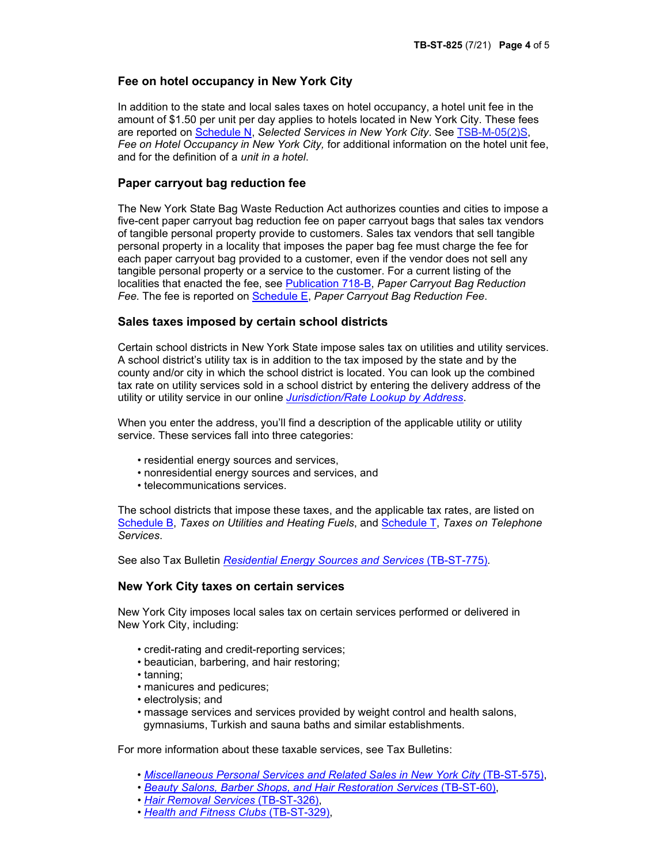## **Fee on hotel occupancy in New York City**

 amount of \$1.50 per unit per day applies to hotels located in New York City. These fees  *Fee on Hotel Occupancy in New York City,* for additional information on the hotel unit fee, In addition to the state and local sales taxes on hotel occupancy, a hotel unit fee in the are reported on [Schedule N](http://www.tax.ny.gov/e-services/stmi/sch_n.htm), *Selected Services in New York City*. See [TSB-M-05\(2\)S,](http://www.tax.ny.gov/pdf/memos/sales/m05_2s.pdf) and for the definition of a *unit in a hotel*.

## **Paper carryout bag reduction fee**

 personal property in a locality that imposes the paper bag fee must charge the fee for each paper carryout bag provided to a customer, even if the vendor does not sell any The New York State Bag Waste Reduction Act authorizes counties and cities to impose a five-cent paper carryout bag reduction fee on paper carryout bags that sales tax vendors of tangible personal property provide to customers. Sales tax vendors that sell tangible tangible personal property or a service to the customer. For a current listing of the localities that enacted the fee, see [Publication 718](http://www.tax.ny.gov/pdf/publications/sales/pub718b.pdf)-B, *Paper Carryout Bag Reduction Fee.* The fee is reported on [Schedule E,](http://www.tax.ny.gov/e-services/stmi/sch-e.htm) *Paper Carryout Bag Reduction Fee*.

#### **Sales taxes imposed by certain school districts**

 Certain school districts in New York State impose sales tax on utilities and utility services. A school district's utility tax is in addition to the tax imposed by the state and by the county and/or city in which the school district is located. You can look up the combined tax rate on utility services sold in a school district by entering the delivery address of the utility or utility service in our online *[Jurisdiction/Rate Lookup by Address](http://www8.tax.ny.gov/JRLA/jrlaStart)*.

When you enter the address, you'll find a description of the applicable utility or utility service. These services fall into three categories:

- residential energy sources and services,
- nonresidential energy sources and services, and
- telecommunications services.

 The school districts that impose these taxes, and the applicable tax rates, are listed on [Schedule B,](http://www.tax.ny.gov/e-services/stmi/sch_b.htm) *Taxes on Utilities and Heating Fuels*, and [Schedule T,](http://www.tax.ny.gov/e-services/stmi/sch_t.htm) *Taxes on Telephone Services*.

See also Tax Bulletin *[Residential Energy Sources and Services](http://www.tax.ny.gov/pubs_and_bulls/tg_bulletins/st/residential_energy.htm)* (TB-ST-775)*.* 

#### **New York City taxes on certain services**

 New York City imposes local sales tax on certain services performed or delivered in New York City, including:

- credit-rating and credit-reporting services;
- beautician, barbering, and hair restoring;
- tanning;
- manicures and pedicures;
- electrolysis; and
- massage services and services provided by weight control and health salons, gymnasiums, Turkish and sauna baths and similar establishments.

For more information about these taxable services, see Tax Bulletins:

- *[Miscellaneous Personal Services and Related Sales in New York City](http://www.tax.ny.gov/pubs_and_bulls/tg_bulletins/st/nyc_personal_services.htm)* (TB-ST-575),
- *[Beauty Salons, Barber Shops, and Hair Restoration Services](http://www.tax.ny.gov/pubs_and_bulls/tg_bulletins/st/beauty_salons_barbers.htm)* (TB-ST-60),
- *[Hair Removal Services](http://www.tax.ny.gov/pubs_and_bulls/tg_bulletins/st/hair_removal.htm)* (TB-ST-326),
- *[Health and Fitness Clubs](http://www.tax.ny.gov/pubs_and_bulls/tg_bulletins/st/health_and_fitness_clubs.htm)* (TB-ST-329),